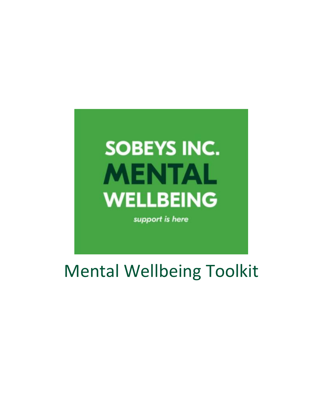# **SOBEYS INC. MENTAL WELLBEING**

support is here

Mental Wellbeing Toolkit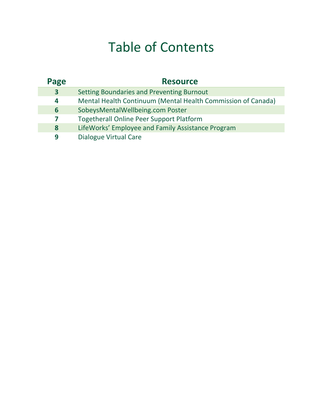## Table of Contents

| Page                    | <b>Resource</b>                                              |
|-------------------------|--------------------------------------------------------------|
| $\overline{\mathbf{3}}$ | Setting Boundaries and Preventing Burnout                    |
| 4                       | Mental Health Continuum (Mental Health Commission of Canada) |
| 6                       | SobeysMentalWellbeing.com Poster                             |
| 7                       | <b>Togetherall Online Peer Support Platform</b>              |
| 8                       | LifeWorks' Employee and Family Assistance Program            |
| 9                       | Dialogue Virtual Care                                        |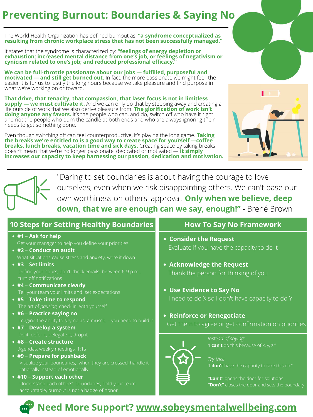# **10 Steps for Setting Healthy Boundaries**

## **Reinforce or Renegotiate**

- **Consider the Request**  Evaluate if you have the capacity to do it
- **Acknowledge the Request**  Thank the person for thinking of you
- **Use Evidence to Say No**  I need to do X so I don't have capacity to do Y

Get them to agree or get confirmation on priorities



# **#1** – **Ask for help #2** – **Conduct an audit** Get your manager to help you define your priorities

- **#4 Communicate clearly** Tell your team your limits and set expectations
- **#5 Take time to respond** The art of *pausing,* check in with yourself
- **#6 Practice saying no**  Imagine the ability to say no as a muscle - you need to build it
- **#7 Develop a system** Do it, defer it, delegate it, drop it
- **#8 Create structure** Agendas, weekly meetings, 1:1s
- **#9 Prepare for pushback** Visualize your boundaries, when they are crossed, handle it rationally instead of emotionally
- **#10 Support each other**
- What situations cause stress and anxiety, write it down
- **#3 Set limits**

Define your hours, don't check emails between 6-9 p.m., turn off notifications

**We can be full-throttle passionate about our jobs — fulfilled, purposeful and motivated — and still get burned out.** In fact, the more passionate we might feel, the easier it is for us to justify the long hours because we take pleasure and find purpose in what we're working on or toward.

Understand each others' boundaries, hold your team accountable, burnout is not a badge of honor

"Daring to set boundaries is about having the courage to love ourselves, even when we risk disappointing others. We can't base our own worthiness on others' approval. **Only when we believe, deep down, that we are enough can we say, enough!"** - Brené Brown

The World Health Organization has defined burnout as: **"a syndrome conceptualized as resulting from chronic workplace stress that has not been successfully managed."** 

It states that the syndrome is characterized by: **"feelings of energy depletion or exhaustion; increased mental distance from one's job, or feelings of negativism or cynicism related to one's job; and reduced professional efficacy."**

**That drive, that tenacity, that compassion, that laser focus is not in limitless supply — we must cultivate it.** And we can only do that by stepping away and creating a life outside of work that we also derive pleasure from. **The glorification of work isn't doing anyone any favors.** It's the people who can, and do, switch off who have it right and not the people who burn the candle at both ends and who are always ignoring their needs to get something done.

Even though switching off can feel counterproductive, it's playing the long game. **Taking the breaks we're entitled to is a good way to create space for yourself —coffee breaks, lunch breaks, vacation time and sick days.** Creating space by taking breaks doesn't mean that we're no longer passionate, dedicated or motivated — **it simply increases our capacity to keep harnessing our passion, dedication and motivation.**





# **Preventing Burnout: Boundaries & Saying No**

# **How To Say No Framework**

*Instead of saying:*  "I **can't** do this because of x, y, z."

*Try this:*

"I **don't** have the capacity to take this on."

**"Can't"** opens the door for solutions **"Don't"** closes the door and sets the boundary

**Need More Support? www.sobeysmentalwellbeing.com**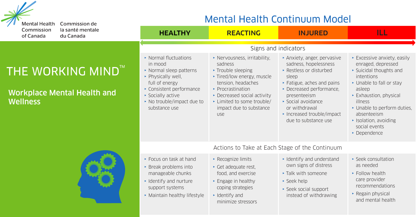

Commission de la santé mentale du Canada

#### THE WORKING MIND<sup>TMI</sup>

Workplace Mental Health and **Wellness** 



#### Mental Health Continuum Model

| <b>HEALTHY</b>                                                                                                                                                                                    | <b>REACTING</b>                                                                                                                                                                                                                     | <b>INJURED</b>                                                                                                                                                                                                                                            | ILL                                                                                                                                                                                                                                                                     |  |  |  |  |
|---------------------------------------------------------------------------------------------------------------------------------------------------------------------------------------------------|-------------------------------------------------------------------------------------------------------------------------------------------------------------------------------------------------------------------------------------|-----------------------------------------------------------------------------------------------------------------------------------------------------------------------------------------------------------------------------------------------------------|-------------------------------------------------------------------------------------------------------------------------------------------------------------------------------------------------------------------------------------------------------------------------|--|--|--|--|
| Signs and indicators                                                                                                                                                                              |                                                                                                                                                                                                                                     |                                                                                                                                                                                                                                                           |                                                                                                                                                                                                                                                                         |  |  |  |  |
| • Normal fluctuations<br>in mood<br>• Normal sleep patterns<br>• Physically well,<br>full of energy<br>• Consistent performance<br>Socially active<br>• No trouble/impact due to<br>substance use | Nervousness, irritability.<br>sadness<br>• Trouble sleeping<br>* Tired/low energy, muscle<br>tension, headaches<br>• Procrastination<br>• Decreased social activity<br>• Limited to some trouble/<br>impact due to substance<br>use | Anxiety, anger, pervasive<br>sadness, hopelessness<br>• Restless or disturbed<br>sleep<br>Fatigue, aches and pains<br>• Decreased performance.<br>presenteeism<br>Social avoidance<br>or withdrawal<br>• Increased trouble/impact<br>due to substance use | Excessive anxiety, easily<br>enraged, depressed<br>Suicidal thoughts and<br>intentions<br>• Unable to fall or stay<br>asleep<br>Exhaustion, physical<br>illness<br>• Unable to perform duties,<br>absenteeism<br>• Isolation, avoiding<br>social events<br>• Dependence |  |  |  |  |
| Actions to Take at Each Stage of the Continuum                                                                                                                                                    |                                                                                                                                                                                                                                     |                                                                                                                                                                                                                                                           |                                                                                                                                                                                                                                                                         |  |  |  |  |
| Encus on task at hand<br>• Break problems into<br>manageable chunks<br>• Identify and nurture<br>support systems<br>• Maintain healthy lifestyle                                                  | • Recognize limits<br>• Get adequate rest,<br>food, and exercise<br>Engage in healthy<br>coping strategies<br>$\cdot$ Identify and<br>minimize stressors                                                                            | • Identify and understand<br>own signs of distress<br>Talk with someone<br>$\cdot$ Seek help<br>Seek social support<br>instead of withdrawing                                                                                                             | Seek consultation<br>as needed<br>• Follow health<br>care provider<br>recommendations<br>• Regain physical<br>and mental health                                                                                                                                         |  |  |  |  |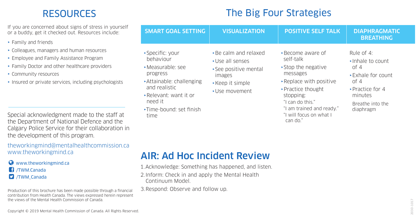#### RESOURCES The Big Four Strategies

If you are concerned about signs of stress in yourself or a buddy, get it checked out. Resources include:

- $\cdot$  Family and friends
- Colleagues, managers and human resources
- **F** Employee and Family Assistance Program
- Family Doctor and other healthcare providers
- $\cdot$  Community resources
- Insured or private services, including psychologists

Special acknowledgment made to the staff at the Department of National Defence and the Calgary Police Service for their collaboration in the development of this program.

#### theworkingmind@mentalhealthcommission.ca www.theworkingmind.ca

#### $\bullet$  www.theworkingmind.ca **17** /TWM.Canada **D** /TWM Canada

Production of this brochure has been made possible through a financial contribution from Health Canada. The views expressed herein represent the views of the Mental Health Commission of Canada.

| . Be calm and relaxed<br>Rule of 4:<br>Specific: your<br>• Become aware of<br>behaviour<br>self-talk<br>▶ Use all senses<br>Inhale to count                                                                                                                                                                                                                                                                                                                                            | <b>SMART GOAL SETTING</b> | <b>VISUALIZATION</b> | <b>POSITIVE SELF TALK</b> | <b>DIAPHRAGMATIC</b><br><b>BREATHING</b> |
|----------------------------------------------------------------------------------------------------------------------------------------------------------------------------------------------------------------------------------------------------------------------------------------------------------------------------------------------------------------------------------------------------------------------------------------------------------------------------------------|---------------------------|----------------------|---------------------------|------------------------------------------|
| · Measurable: see<br>▸ See positive mental<br>messages<br>progress<br>*Exhale for count<br>images<br>Attainable: challenging<br>▸ Replace with positive<br>of 4<br>▸ Keep it simple<br>and realistic<br>· Practice for 4<br>▸ Practice thought<br>• Use movement<br>Relevant: want it or<br>minutes<br>stopping:<br>need it<br>"I can do this."<br>Breathe into the<br>"I am trained and ready."<br>Time-bound: set finish<br>diaphragm<br>"I will focus on what I<br>time<br>can do." |                           |                      | ▶ Stop the negative       | of 4                                     |

#### AIR: Ad Hoc Incident Review

- 1. Acknowledge: Something has happened, and listen.
- 2.Inform: Check in and apply the Mental Health ContinuumModel.
- 3. Respond: Observe and follow up.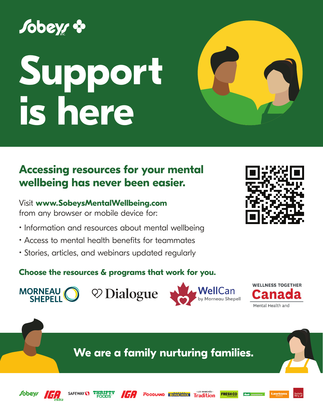# *Sobeys &*

# **Support is here**

## **Accessing resources for your mental wellbeing has never been easier.**

Visit **www.SobeysMentalWellbeing.com**  from any browser or mobile device for:

SAFEWAY () THRIFTY

- Information and resources about mental wellbeing
- Access to mental health benefits for teammates
- Stories, articles, and webinars updated regularly

#### **Choose the resources & programs that work for you.**





**FRESHCO** 

**WELLNESS TOGETHER** Mental Health and

**We are a family nurturing families.**

**ICA** FOODLAND **BONICHOIX** Tradition



MORNEAU O



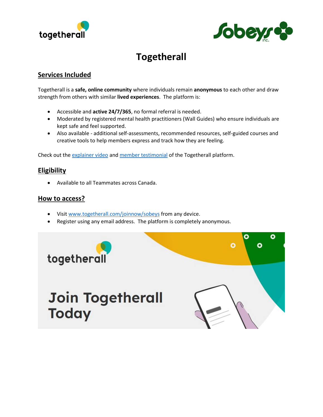



#### **Togetherall**

#### **Services Included**

Togetherall is a **safe, online community** where individuals remain **anonymous** to each other and draw strength from others with similar **lived experiences**. The platform is:

- Accessible and **active 24/7/365**, no formal referral is needed.
- Moderated by registered mental health practitioners (Wall Guides) who ensure individuals are kept safe and feel supported.
- Also available additional self-assessments, recommended resources, self-guided courses and creative tools to help members express and track how they are feeling.

Check out the explainer video and member testimonial of the Togetherall platform.

#### **Eligibility**

• Available to all Teammates across Canada.

#### **How to access?**

- Visit www.togetherall.com/joinnow/sobeys from any device.
- Register using any email address. The platform is completely anonymous.



## **Join Togetherall Today**

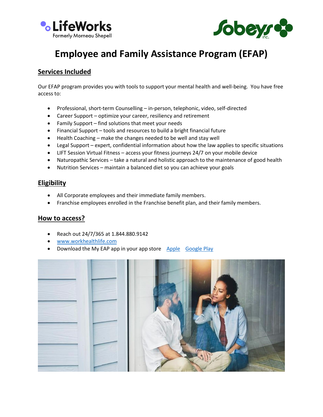



### **Employee and Family Assistance Program (EFAP)**

#### **Services Included**

Our EFAP program provides you with tools to support your mental health and well-being. You have free access to:

- Professional, short-term Counselling in-person, telephonic, video, self-directed
- Career Support optimize your career, resiliency and retirement
- Family Support find solutions that meet your needs
- Financial Support tools and resources to build a bright financial future
- Health Coaching make the changes needed to be well and stay well
- Legal Support expert, confidential information about how the law applies to specific situations
- LIFT Session Virtual Fitness access your fitness journeys 24/7 on your mobile device
- Naturopathic Services take a natural and holistic approach to the maintenance of good health
- Nutrition Services maintain a balanced diet so you can achieve your goals

#### **Eligibility**

- All Corporate employees and their immediate family members.
- Franchise employees enrolled in the Franchise benefit plan, and their family members.

#### **How to access?**

- Reach out 24/7/365 at 1.844.880.9142
- www.workhealthlife.com
- Download the My EAP app in your app store Apple Google Play